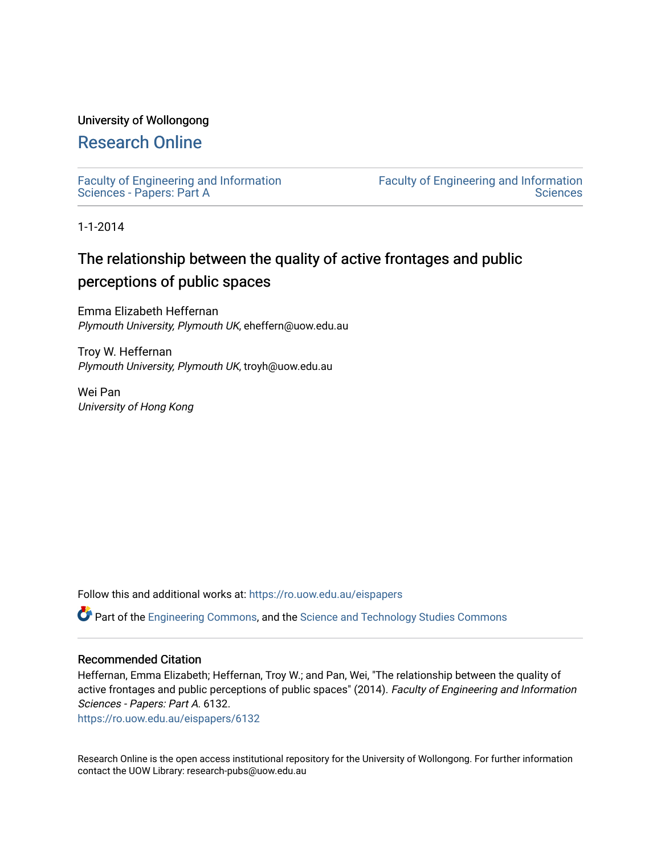# University of Wollongong

# [Research Online](https://ro.uow.edu.au/)

[Faculty of Engineering and Information](https://ro.uow.edu.au/eispapers)  [Sciences - Papers: Part A](https://ro.uow.edu.au/eispapers) 

[Faculty of Engineering and Information](https://ro.uow.edu.au/eis)  **Sciences** 

1-1-2014

# The relationship between the quality of active frontages and public perceptions of public spaces

Emma Elizabeth Heffernan Plymouth University, Plymouth UK, eheffern@uow.edu.au

Troy W. Heffernan Plymouth University, Plymouth UK, troyh@uow.edu.au

Wei Pan University of Hong Kong

Follow this and additional works at: [https://ro.uow.edu.au/eispapers](https://ro.uow.edu.au/eispapers?utm_source=ro.uow.edu.au%2Feispapers%2F6132&utm_medium=PDF&utm_campaign=PDFCoverPages)

Part of the [Engineering Commons](http://network.bepress.com/hgg/discipline/217?utm_source=ro.uow.edu.au%2Feispapers%2F6132&utm_medium=PDF&utm_campaign=PDFCoverPages), and the [Science and Technology Studies Commons](http://network.bepress.com/hgg/discipline/435?utm_source=ro.uow.edu.au%2Feispapers%2F6132&utm_medium=PDF&utm_campaign=PDFCoverPages)

## Recommended Citation

Heffernan, Emma Elizabeth; Heffernan, Troy W.; and Pan, Wei, "The relationship between the quality of active frontages and public perceptions of public spaces" (2014). Faculty of Engineering and Information Sciences - Papers: Part A. 6132.

[https://ro.uow.edu.au/eispapers/6132](https://ro.uow.edu.au/eispapers/6132?utm_source=ro.uow.edu.au%2Feispapers%2F6132&utm_medium=PDF&utm_campaign=PDFCoverPages) 

Research Online is the open access institutional repository for the University of Wollongong. For further information contact the UOW Library: research-pubs@uow.edu.au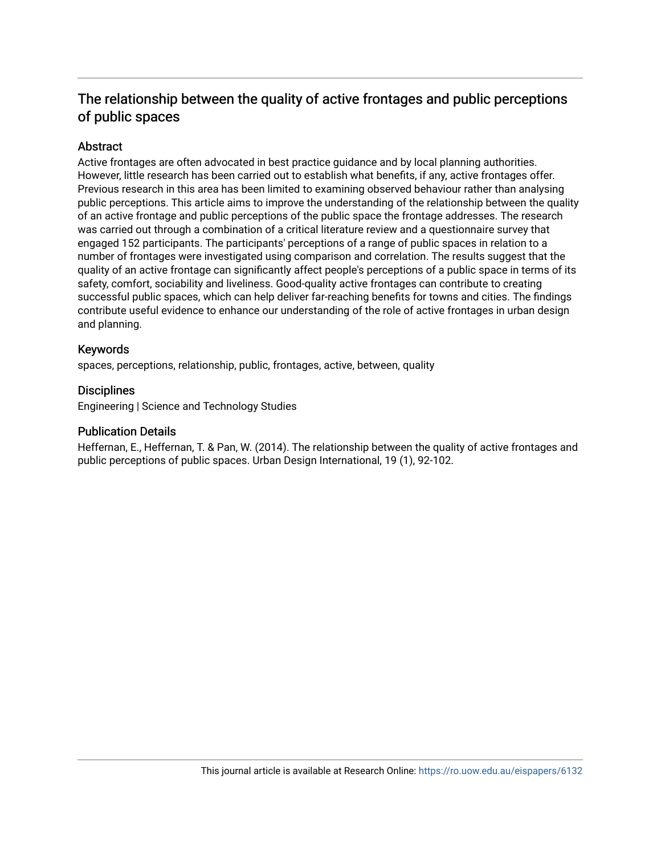# The relationship between the quality of active frontages and public perceptions of public spaces

# Abstract

Active frontages are often advocated in best practice guidance and by local planning authorities. However, little research has been carried out to establish what benefits, if any, active frontages offer. Previous research in this area has been limited to examining observed behaviour rather than analysing public perceptions. This article aims to improve the understanding of the relationship between the quality of an active frontage and public perceptions of the public space the frontage addresses. The research was carried out through a combination of a critical literature review and a questionnaire survey that engaged 152 participants. The participants' perceptions of a range of public spaces in relation to a number of frontages were investigated using comparison and correlation. The results suggest that the quality of an active frontage can significantly affect people's perceptions of a public space in terms of its safety, comfort, sociability and liveliness. Good-quality active frontages can contribute to creating successful public spaces, which can help deliver far-reaching benefits for towns and cities. The findings contribute useful evidence to enhance our understanding of the role of active frontages in urban design and planning.

# Keywords

spaces, perceptions, relationship, public, frontages, active, between, quality

# **Disciplines**

Engineering | Science and Technology Studies

## Publication Details

Heffernan, E., Heffernan, T. & Pan, W. (2014). The relationship between the quality of active frontages and public perceptions of public spaces. Urban Design International, 19 (1), 92-102.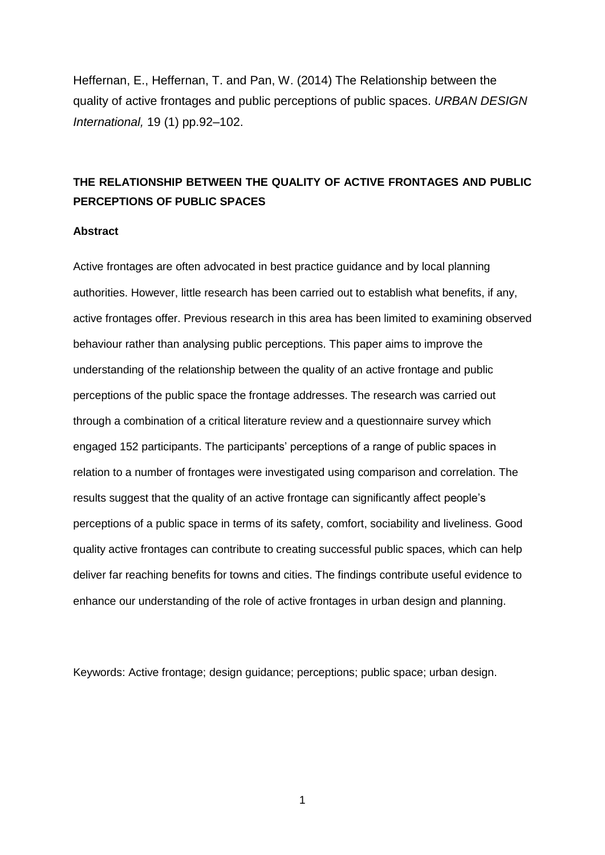Heffernan, E., Heffernan, T. and Pan, W. (2014) The Relationship between the quality of active frontages and public perceptions of public spaces. *URBAN DESIGN International,* 19 (1) pp.92–102.

# **THE RELATIONSHIP BETWEEN THE QUALITY OF ACTIVE FRONTAGES AND PUBLIC PERCEPTIONS OF PUBLIC SPACES**

## **Abstract**

Active frontages are often advocated in best practice guidance and by local planning authorities. However, little research has been carried out to establish what benefits, if any, active frontages offer. Previous research in this area has been limited to examining observed behaviour rather than analysing public perceptions. This paper aims to improve the understanding of the relationship between the quality of an active frontage and public perceptions of the public space the frontage addresses. The research was carried out through a combination of a critical literature review and a questionnaire survey which engaged 152 participants. The participants' perceptions of a range of public spaces in relation to a number of frontages were investigated using comparison and correlation. The results suggest that the quality of an active frontage can significantly affect people's perceptions of a public space in terms of its safety, comfort, sociability and liveliness. Good quality active frontages can contribute to creating successful public spaces, which can help deliver far reaching benefits for towns and cities. The findings contribute useful evidence to enhance our understanding of the role of active frontages in urban design and planning.

Keywords: Active frontage; design guidance; perceptions; public space; urban design.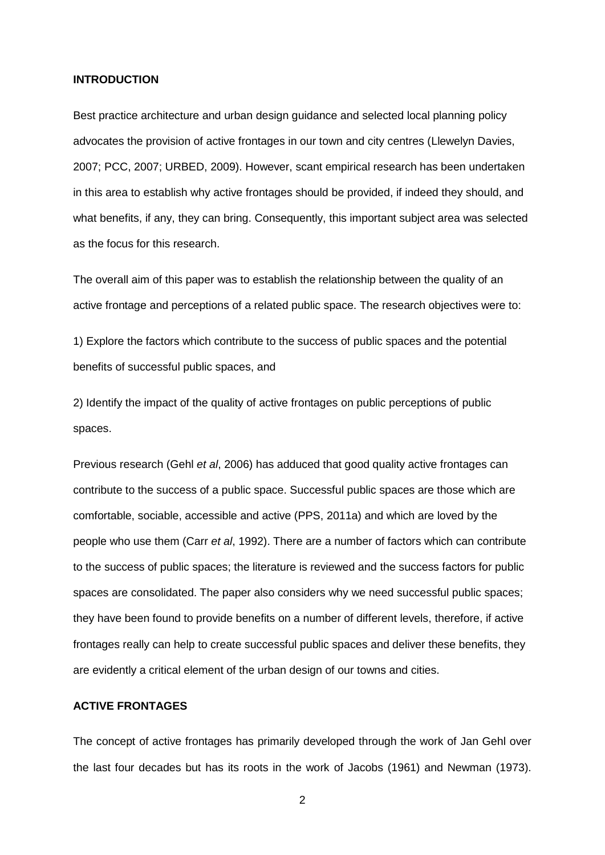#### **INTRODUCTION**

Best practice architecture and urban design guidance and selected local planning policy advocates the provision of active frontages in our town and city centres (Llewelyn Davies, 2007; PCC, 2007; URBED, 2009). However, scant empirical research has been undertaken in this area to establish why active frontages should be provided, if indeed they should, and what benefits, if any, they can bring. Consequently, this important subject area was selected as the focus for this research.

The overall aim of this paper was to establish the relationship between the quality of an active frontage and perceptions of a related public space. The research objectives were to:

1) Explore the factors which contribute to the success of public spaces and the potential benefits of successful public spaces, and

2) Identify the impact of the quality of active frontages on public perceptions of public spaces.

Previous research (Gehl *et al*, 2006) has adduced that good quality active frontages can contribute to the success of a public space. Successful public spaces are those which are comfortable, sociable, accessible and active (PPS, 2011a) and which are loved by the people who use them (Carr *et al*, 1992). There are a number of factors which can contribute to the success of public spaces; the literature is reviewed and the success factors for public spaces are consolidated. The paper also considers why we need successful public spaces; they have been found to provide benefits on a number of different levels, therefore, if active frontages really can help to create successful public spaces and deliver these benefits, they are evidently a critical element of the urban design of our towns and cities.

# **ACTIVE FRONTAGES**

The concept of active frontages has primarily developed through the work of Jan Gehl over the last four decades but has its roots in the work of Jacobs (1961) and Newman (1973).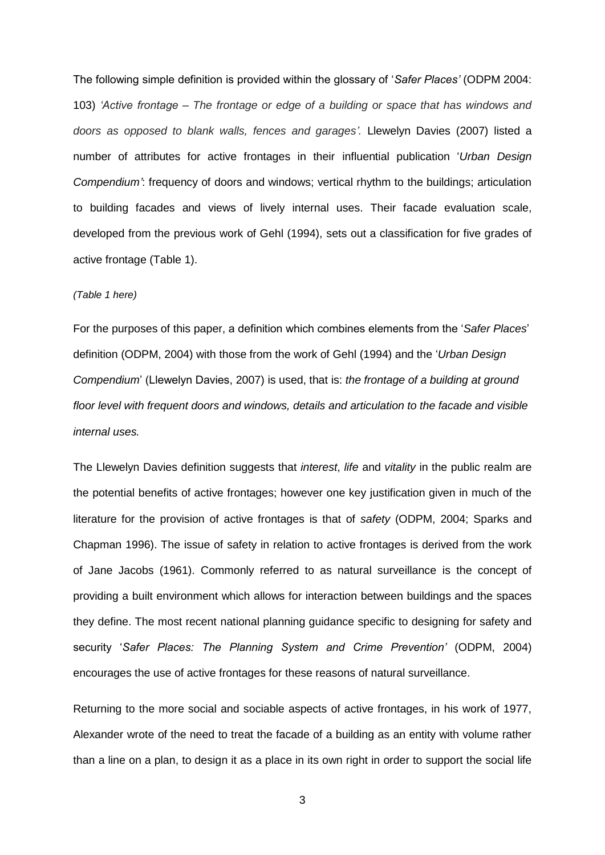The following simple definition is provided within the glossary of '*Safer Places'* (ODPM 2004: 103) *'Active frontage – The frontage or edge of a building or space that has windows and doors as opposed to blank walls, fences and garages'.* Llewelyn Davies (2007) listed a number of attributes for active frontages in their influential publication '*Urban Design Compendium'*: frequency of doors and windows; vertical rhythm to the buildings; articulation to building facades and views of lively internal uses. Their facade evaluation scale, developed from the previous work of Gehl (1994), sets out a classification for five grades of active frontage (Table 1).

#### *(Table 1 here)*

For the purposes of this paper, a definition which combines elements from the '*Safer Places*' definition (ODPM, 2004) with those from the work of Gehl (1994) and the '*Urban Design Compendium*' (Llewelyn Davies, 2007) is used, that is: *the frontage of a building at ground floor level with frequent doors and windows, details and articulation to the facade and visible internal uses.*

The Llewelyn Davies definition suggests that *interest*, *life* and *vitality* in the public realm are the potential benefits of active frontages; however one key justification given in much of the literature for the provision of active frontages is that of *safety* (ODPM, 2004; Sparks and Chapman 1996). The issue of safety in relation to active frontages is derived from the work of Jane Jacobs (1961). Commonly referred to as natural surveillance is the concept of providing a built environment which allows for interaction between buildings and the spaces they define. The most recent national planning guidance specific to designing for safety and security '*Safer Places: The Planning System and Crime Prevention'* (ODPM, 2004) encourages the use of active frontages for these reasons of natural surveillance.

Returning to the more social and sociable aspects of active frontages, in his work of 1977, Alexander wrote of the need to treat the facade of a building as an entity with volume rather than a line on a plan, to design it as a place in its own right in order to support the social life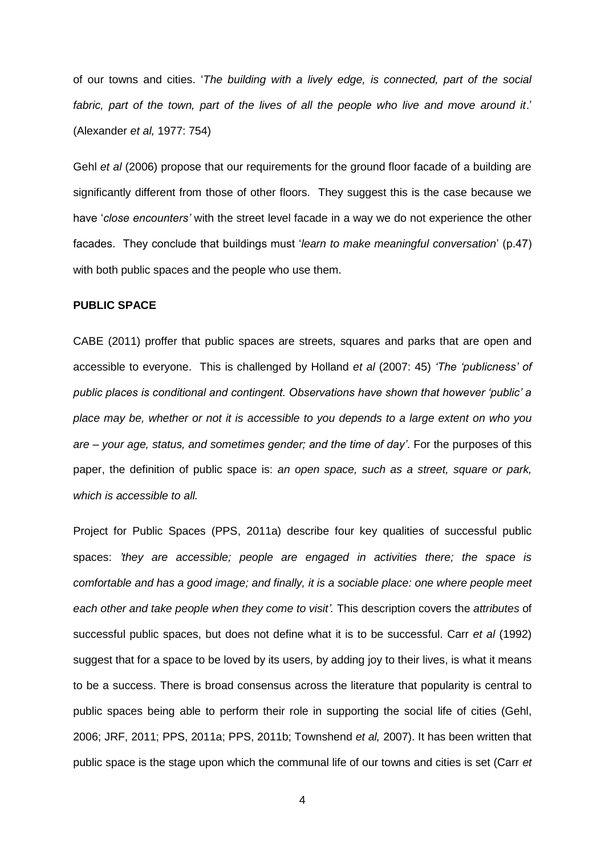of our towns and cities. '*The building with a lively edge, is connected, part of the social fabric, part of the town, part of the lives of all the people who live and move around it*.' (Alexander *et al,* 1977: 754)

Gehl *et al* (2006) propose that our requirements for the ground floor facade of a building are significantly different from those of other floors. They suggest this is the case because we have '*close encounters'* with the street level facade in a way we do not experience the other facades. They conclude that buildings must '*learn to make meaningful conversation*' (p.47) with both public spaces and the people who use them.

## **PUBLIC SPACE**

CABE (2011) proffer that public spaces are streets, squares and parks that are open and accessible to everyone. This is challenged by Holland *et al* (2007: 45) *'The 'publicness' of public places is conditional and contingent. Observations have shown that however 'public' a place may be, whether or not it is accessible to you depends to a large extent on who you are – your age, status, and sometimes gender; and the time of day'*. For the purposes of this paper, the definition of public space is: *an open space, such as a street, square or park, which is accessible to all.*

Project for Public Spaces (PPS, 2011a) describe four key qualities of successful public spaces: *'they are accessible; people are engaged in activities there; the space is comfortable and has a good image; and finally, it is a sociable place: one where people meet each other and take people when they come to visit'.* This description covers the *attributes* of successful public spaces, but does not define what it is to be successful. Carr *et al* (1992) suggest that for a space to be loved by its users, by adding joy to their lives, is what it means to be a success. There is broad consensus across the literature that popularity is central to public spaces being able to perform their role in supporting the social life of cities (Gehl, 2006; JRF, 2011; PPS, 2011a; PPS, 2011b; Townshend *et al,* 2007). It has been written that public space is the stage upon which the communal life of our towns and cities is set (Carr *et*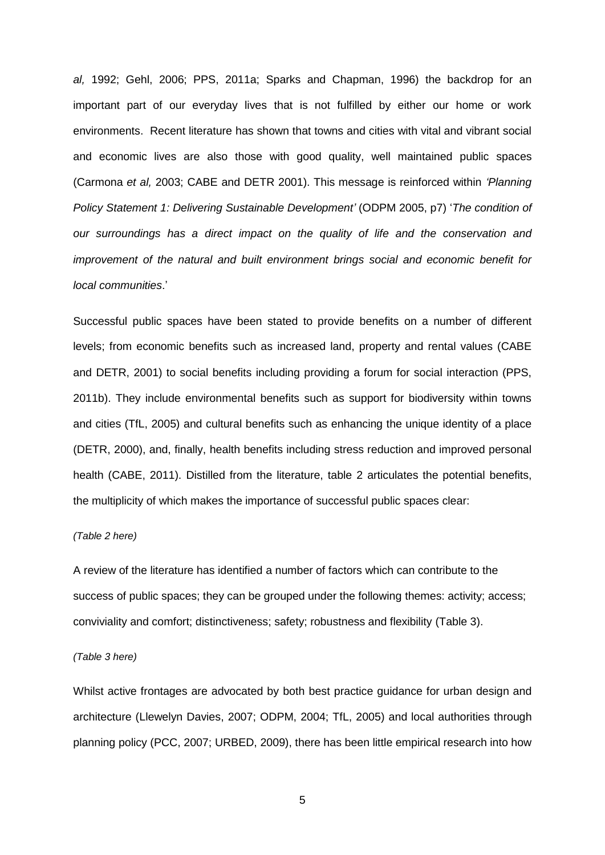*al,* 1992; Gehl, 2006; PPS, 2011a; Sparks and Chapman, 1996) the backdrop for an important part of our everyday lives that is not fulfilled by either our home or work environments. Recent literature has shown that towns and cities with vital and vibrant social and economic lives are also those with good quality, well maintained public spaces (Carmona *et al,* 2003; CABE and DETR 2001). This message is reinforced within *'Planning Policy Statement 1: Delivering Sustainable Development'* (ODPM 2005, p7) '*The condition of our surroundings has a direct impact on the quality of life and the conservation and improvement of the natural and built environment brings social and economic benefit for local communities*.'

Successful public spaces have been stated to provide benefits on a number of different levels; from economic benefits such as increased land, property and rental values (CABE and DETR, 2001) to social benefits including providing a forum for social interaction (PPS, 2011b). They include environmental benefits such as support for biodiversity within towns and cities (TfL, 2005) and cultural benefits such as enhancing the unique identity of a place (DETR, 2000), and, finally, health benefits including stress reduction and improved personal health (CABE, 2011). Distilled from the literature, table 2 articulates the potential benefits, the multiplicity of which makes the importance of successful public spaces clear:

### *(Table 2 here)*

A review of the literature has identified a number of factors which can contribute to the success of public spaces; they can be grouped under the following themes: activity; access; conviviality and comfort; distinctiveness; safety; robustness and flexibility (Table 3).

#### *(Table 3 here)*

Whilst active frontages are advocated by both best practice guidance for urban design and architecture (Llewelyn Davies, 2007; ODPM, 2004; TfL, 2005) and local authorities through planning policy (PCC, 2007; URBED, 2009), there has been little empirical research into how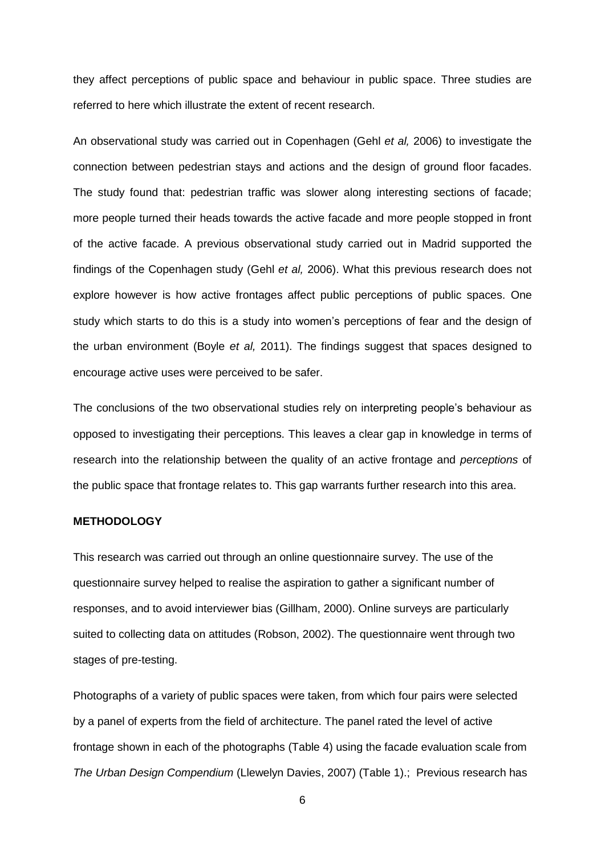they affect perceptions of public space and behaviour in public space. Three studies are referred to here which illustrate the extent of recent research.

An observational study was carried out in Copenhagen (Gehl *et al,* 2006) to investigate the connection between pedestrian stays and actions and the design of ground floor facades. The study found that: pedestrian traffic was slower along interesting sections of facade; more people turned their heads towards the active facade and more people stopped in front of the active facade. A previous observational study carried out in Madrid supported the findings of the Copenhagen study (Gehl *et al,* 2006). What this previous research does not explore however is how active frontages affect public perceptions of public spaces. One study which starts to do this is a study into women's perceptions of fear and the design of the urban environment (Boyle *et al,* 2011). The findings suggest that spaces designed to encourage active uses were perceived to be safer.

The conclusions of the two observational studies rely on interpreting people's behaviour as opposed to investigating their perceptions. This leaves a clear gap in knowledge in terms of research into the relationship between the quality of an active frontage and *perceptions* of the public space that frontage relates to. This gap warrants further research into this area.

## **METHODOLOGY**

This research was carried out through an online questionnaire survey. The use of the questionnaire survey helped to realise the aspiration to gather a significant number of responses, and to avoid interviewer bias (Gillham, 2000). Online surveys are particularly suited to collecting data on attitudes (Robson, 2002). The questionnaire went through two stages of pre-testing.

Photographs of a variety of public spaces were taken, from which four pairs were selected by a panel of experts from the field of architecture. The panel rated the level of active frontage shown in each of the photographs (Table 4) using the facade evaluation scale from *The Urban Design Compendium* (Llewelyn Davies, 2007) (Table 1).; Previous research has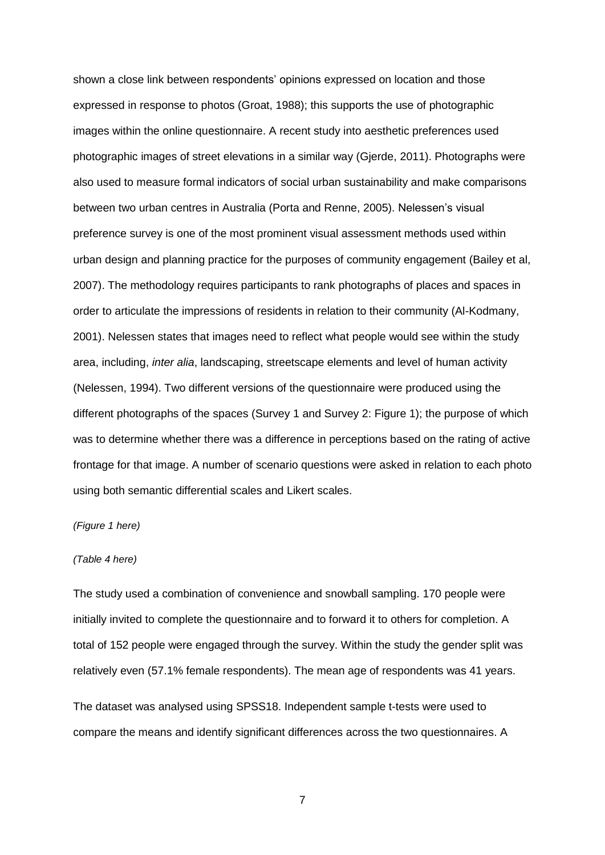shown a close link between respondents' opinions expressed on location and those expressed in response to photos (Groat, 1988); this supports the use of photographic images within the online questionnaire. A recent study into aesthetic preferences used photographic images of street elevations in a similar way (Gjerde, 2011). Photographs were also used to measure formal indicators of social urban sustainability and make comparisons between two urban centres in Australia (Porta and Renne, 2005). Nelessen's visual preference survey is one of the most prominent visual assessment methods used within urban design and planning practice for the purposes of community engagement (Bailey et al, 2007). The methodology requires participants to rank photographs of places and spaces in order to articulate the impressions of residents in relation to their community (Al-Kodmany, 2001). Nelessen states that images need to reflect what people would see within the study area, including, *inter alia*, landscaping, streetscape elements and level of human activity (Nelessen, 1994). Two different versions of the questionnaire were produced using the different photographs of the spaces (Survey 1 and Survey 2: Figure 1); the purpose of which was to determine whether there was a difference in perceptions based on the rating of active frontage for that image. A number of scenario questions were asked in relation to each photo using both semantic differential scales and Likert scales.

#### *(Figure 1 here)*

#### *(Table 4 here)*

The study used a combination of convenience and snowball sampling. 170 people were initially invited to complete the questionnaire and to forward it to others for completion. A total of 152 people were engaged through the survey. Within the study the gender split was relatively even (57.1% female respondents). The mean age of respondents was 41 years.

The dataset was analysed using SPSS18. Independent sample t-tests were used to compare the means and identify significant differences across the two questionnaires. A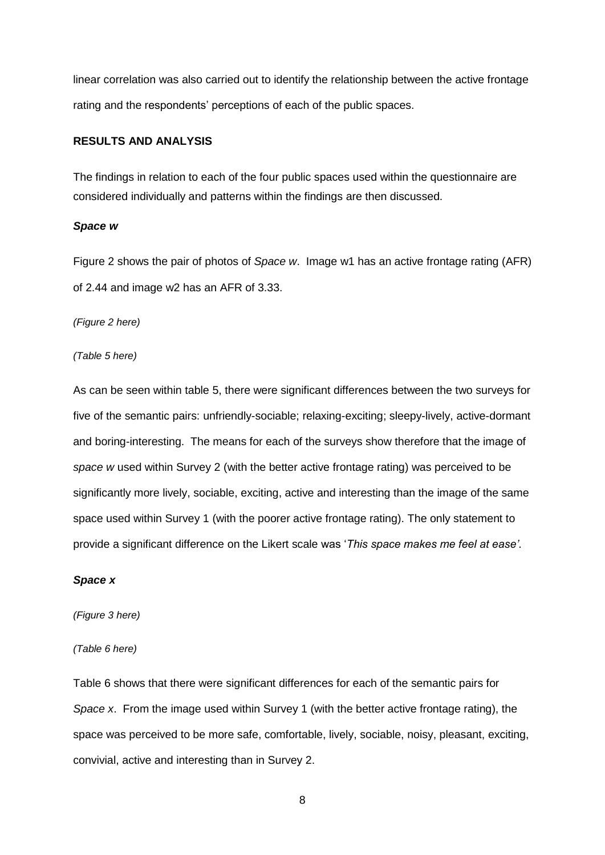linear correlation was also carried out to identify the relationship between the active frontage rating and the respondents' perceptions of each of the public spaces.

# **RESULTS AND ANALYSIS**

The findings in relation to each of the four public spaces used within the questionnaire are considered individually and patterns within the findings are then discussed.

#### *Space w*

Figure 2 shows the pair of photos of *Space w*. Image w1 has an active frontage rating (AFR) of 2.44 and image w2 has an AFR of 3.33.

*(Figure 2 here)*

*(Table 5 here)*

As can be seen within table 5, there were significant differences between the two surveys for five of the semantic pairs: unfriendly-sociable; relaxing-exciting; sleepy-lively, active-dormant and boring-interesting. The means for each of the surveys show therefore that the image of *space w* used within Survey 2 (with the better active frontage rating) was perceived to be significantly more lively, sociable, exciting, active and interesting than the image of the same space used within Survey 1 (with the poorer active frontage rating). The only statement to provide a significant difference on the Likert scale was '*This space makes me feel at ease'*.

## *Space x*

*(Figure 3 here)*

*(Table 6 here)*

Table 6 shows that there were significant differences for each of the semantic pairs for *Space x*. From the image used within Survey 1 (with the better active frontage rating), the space was perceived to be more safe, comfortable, lively, sociable, noisy, pleasant, exciting, convivial, active and interesting than in Survey 2.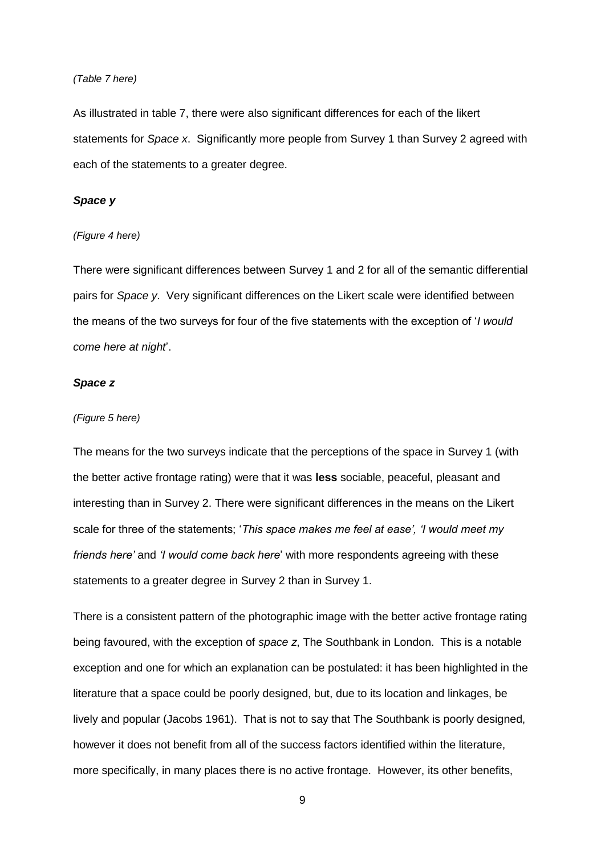#### *(Table 7 here)*

As illustrated in table 7, there were also significant differences for each of the likert statements for *Space x*. Significantly more people from Survey 1 than Survey 2 agreed with each of the statements to a greater degree.

## *Space y*

#### *(Figure 4 here)*

There were significant differences between Survey 1 and 2 for all of the semantic differential pairs for *Space y*. Very significant differences on the Likert scale were identified between the means of the two surveys for four of the five statements with the exception of '*I would come here at night*'.

## *Space z*

#### *(Figure 5 here)*

The means for the two surveys indicate that the perceptions of the space in Survey 1 (with the better active frontage rating) were that it was **less** sociable, peaceful, pleasant and interesting than in Survey 2. There were significant differences in the means on the Likert scale for three of the statements; '*This space makes me feel at ease', 'I would meet my friends here'* and *'I would come back here*' with more respondents agreeing with these statements to a greater degree in Survey 2 than in Survey 1.

There is a consistent pattern of the photographic image with the better active frontage rating being favoured, with the exception of *space z*, The Southbank in London. This is a notable exception and one for which an explanation can be postulated: it has been highlighted in the literature that a space could be poorly designed, but, due to its location and linkages, be lively and popular (Jacobs 1961). That is not to say that The Southbank is poorly designed, however it does not benefit from all of the success factors identified within the literature, more specifically, in many places there is no active frontage. However, its other benefits,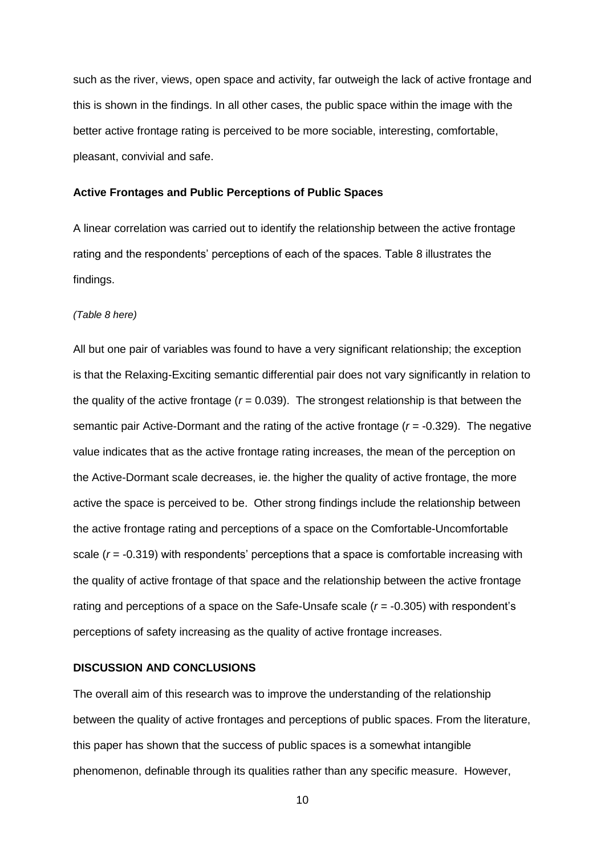such as the river, views, open space and activity, far outweigh the lack of active frontage and this is shown in the findings. In all other cases, the public space within the image with the better active frontage rating is perceived to be more sociable, interesting, comfortable, pleasant, convivial and safe.

#### **Active Frontages and Public Perceptions of Public Spaces**

A linear correlation was carried out to identify the relationship between the active frontage rating and the respondents' perceptions of each of the spaces. Table 8 illustrates the findings.

#### *(Table 8 here)*

All but one pair of variables was found to have a very significant relationship; the exception is that the Relaxing-Exciting semantic differential pair does not vary significantly in relation to the quality of the active frontage ( $r = 0.039$ ). The strongest relationship is that between the semantic pair Active-Dormant and the rating of the active frontage (*r* = -0.329). The negative value indicates that as the active frontage rating increases, the mean of the perception on the Active-Dormant scale decreases, ie. the higher the quality of active frontage, the more active the space is perceived to be. Other strong findings include the relationship between the active frontage rating and perceptions of a space on the Comfortable-Uncomfortable scale (*r* = -0.319) with respondents' perceptions that a space is comfortable increasing with the quality of active frontage of that space and the relationship between the active frontage rating and perceptions of a space on the Safe-Unsafe scale (*r* = -0.305) with respondent's perceptions of safety increasing as the quality of active frontage increases.

#### **DISCUSSION AND CONCLUSIONS**

The overall aim of this research was to improve the understanding of the relationship between the quality of active frontages and perceptions of public spaces. From the literature, this paper has shown that the success of public spaces is a somewhat intangible phenomenon, definable through its qualities rather than any specific measure. However,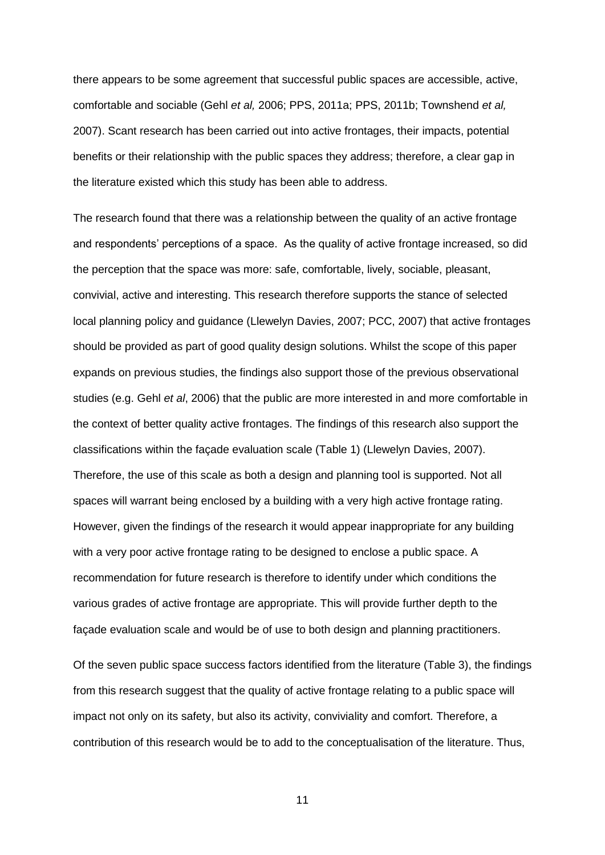there appears to be some agreement that successful public spaces are accessible, active, comfortable and sociable (Gehl *et al,* 2006; PPS, 2011a; PPS, 2011b; Townshend *et al,* 2007). Scant research has been carried out into active frontages, their impacts, potential benefits or their relationship with the public spaces they address; therefore, a clear gap in the literature existed which this study has been able to address.

The research found that there was a relationship between the quality of an active frontage and respondents' perceptions of a space. As the quality of active frontage increased, so did the perception that the space was more: safe, comfortable, lively, sociable, pleasant, convivial, active and interesting. This research therefore supports the stance of selected local planning policy and guidance (Llewelyn Davies, 2007; PCC, 2007) that active frontages should be provided as part of good quality design solutions. Whilst the scope of this paper expands on previous studies, the findings also support those of the previous observational studies (e.g. Gehl *et al*, 2006) that the public are more interested in and more comfortable in the context of better quality active frontages. The findings of this research also support the classifications within the façade evaluation scale (Table 1) (Llewelyn Davies, 2007). Therefore, the use of this scale as both a design and planning tool is supported. Not all spaces will warrant being enclosed by a building with a very high active frontage rating. However, given the findings of the research it would appear inappropriate for any building with a very poor active frontage rating to be designed to enclose a public space. A recommendation for future research is therefore to identify under which conditions the various grades of active frontage are appropriate. This will provide further depth to the façade evaluation scale and would be of use to both design and planning practitioners.

Of the seven public space success factors identified from the literature (Table 3), the findings from this research suggest that the quality of active frontage relating to a public space will impact not only on its safety, but also its activity, conviviality and comfort. Therefore, a contribution of this research would be to add to the conceptualisation of the literature. Thus,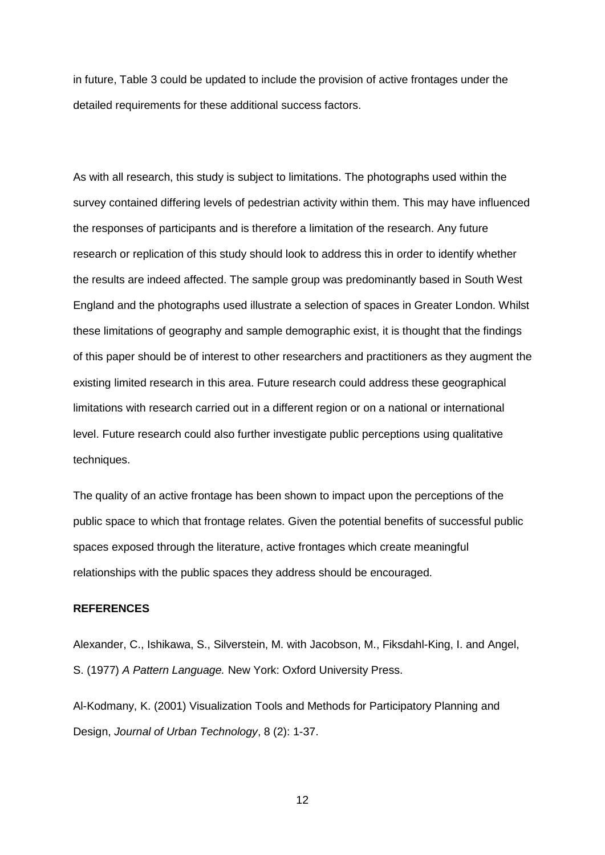in future, Table 3 could be updated to include the provision of active frontages under the detailed requirements for these additional success factors.

As with all research, this study is subject to limitations. The photographs used within the survey contained differing levels of pedestrian activity within them. This may have influenced the responses of participants and is therefore a limitation of the research. Any future research or replication of this study should look to address this in order to identify whether the results are indeed affected. The sample group was predominantly based in South West England and the photographs used illustrate a selection of spaces in Greater London. Whilst these limitations of geography and sample demographic exist, it is thought that the findings of this paper should be of interest to other researchers and practitioners as they augment the existing limited research in this area. Future research could address these geographical limitations with research carried out in a different region or on a national or international level. Future research could also further investigate public perceptions using qualitative techniques.

The quality of an active frontage has been shown to impact upon the perceptions of the public space to which that frontage relates. Given the potential benefits of successful public spaces exposed through the literature, active frontages which create meaningful relationships with the public spaces they address should be encouraged.

# **REFERENCES**

Alexander, C., Ishikawa, S., Silverstein, M. with Jacobson, M., Fiksdahl-King, I. and Angel, S. (1977) *A Pattern Language.* New York: Oxford University Press.

Al-Kodmany, K. (2001) Visualization Tools and Methods for Participatory Planning and Design, *Journal of Urban Technology*, 8 (2): 1-37.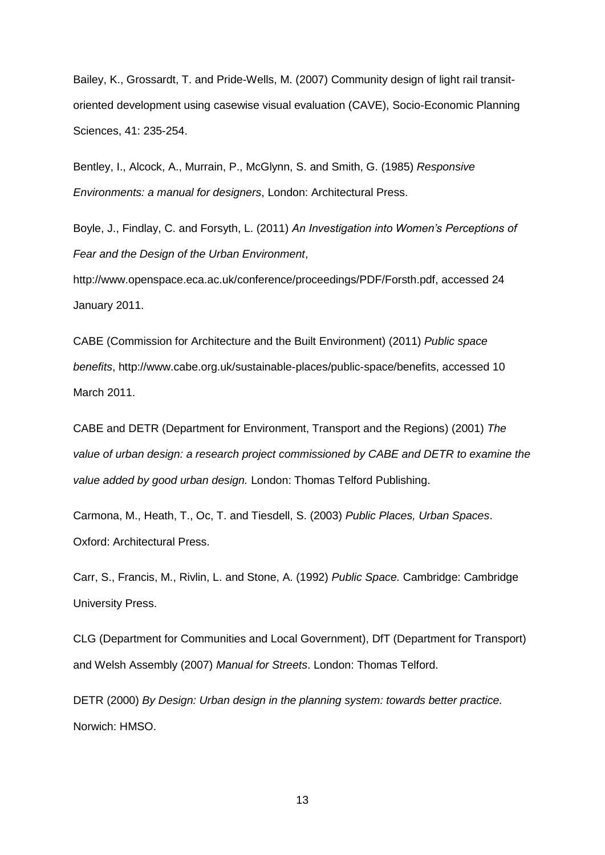Bailey, K., Grossardt, T. and Pride-Wells, M. (2007) Community design of light rail transitoriented development using casewise visual evaluation (CAVE), Socio-Economic Planning Sciences, 41: 235-254.

Bentley, I., Alcock, A., Murrain, P., McGlynn, S. and Smith, G. (1985) *Responsive Environments: a manual for designers*, London: Architectural Press.

Boyle, J., Findlay, C. and Forsyth, L. (2011) *An Investigation into Women's Perceptions of Fear and the Design of the Urban Environment*,

http://www.openspace.eca.ac.uk/conference/proceedings/PDF/Forsth.pdf, accessed 24 January 2011.

CABE (Commission for Architecture and the Built Environment) (2011) *Public space benefits*, http://www.cabe.org.uk/sustainable-places/public-space/benefits, accessed 10 March 2011.

CABE and DETR (Department for Environment, Transport and the Regions) (2001) *The value of urban design: a research project commissioned by CABE and DETR to examine the value added by good urban design.* London: Thomas Telford Publishing.

Carmona, M., Heath, T., Oc, T. and Tiesdell, S. (2003) *Public Places, Urban Spaces*. Oxford: Architectural Press.

Carr, S., Francis, M., Rivlin, L. and Stone, A. (1992) *Public Space.* Cambridge: Cambridge University Press.

CLG (Department for Communities and Local Government), DfT (Department for Transport) and Welsh Assembly (2007) *Manual for Streets*. London: Thomas Telford.

DETR (2000) *By Design: Urban design in the planning system: towards better practice.* Norwich: HMSO.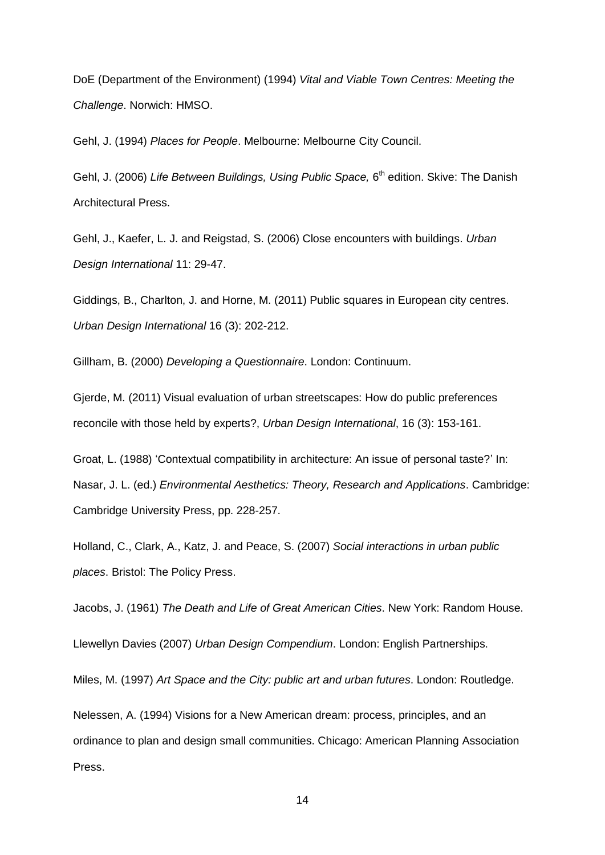DoE (Department of the Environment) (1994) *Vital and Viable Town Centres: Meeting the Challenge*. Norwich: HMSO.

Gehl, J. (1994) *Places for People*. Melbourne: Melbourne City Council.

Gehl, J. (2006) Life Between Buildings, Using Public Space, 6<sup>th</sup> edition. Skive: The Danish Architectural Press.

Gehl, J., Kaefer, L. J. and Reigstad, S. (2006) Close encounters with buildings. *Urban Design International* 11: 29-47.

Giddings, B., Charlton, J. and Horne, M. (2011) Public squares in European city centres. *Urban Design International* 16 (3): 202-212.

Gillham, B. (2000) *Developing a Questionnaire*. London: Continuum.

Gjerde, M. (2011) Visual evaluation of urban streetscapes: How do public preferences reconcile with those held by experts?, *Urban Design International*, 16 (3): 153-161.

Groat, L. (1988) 'Contextual compatibility in architecture: An issue of personal taste?' In: Nasar, J. L. (ed.) *Environmental Aesthetics: Theory, Research and Applications*. Cambridge: Cambridge University Press, pp. 228-257.

Holland, C., Clark, A., Katz, J. and Peace, S. (2007) *Social interactions in urban public places*. Bristol: The Policy Press.

Jacobs, J. (1961) *The Death and Life of Great American Cities*. New York: Random House.

Llewellyn Davies (2007) *Urban Design Compendium*. London: English Partnerships.

Miles, M. (1997) *Art Space and the City: public art and urban futures*. London: Routledge.

Nelessen, A. (1994) Visions for a New American dream: process, principles, and an ordinance to plan and design small communities. Chicago: American Planning Association Press.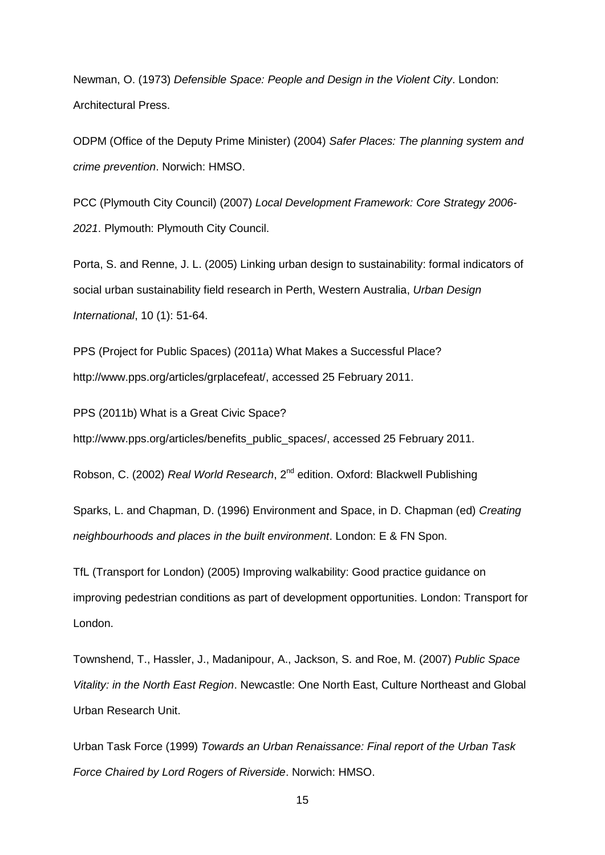Newman, O. (1973) *Defensible Space: People and Design in the Violent City*. London: Architectural Press.

ODPM (Office of the Deputy Prime Minister) (2004) *Safer Places: The planning system and crime prevention*. Norwich: HMSO.

PCC (Plymouth City Council) (2007) *Local Development Framework: Core Strategy 2006- 2021*. Plymouth: Plymouth City Council.

Porta, S. and Renne, J. L. (2005) Linking urban design to sustainability: formal indicators of social urban sustainability field research in Perth, Western Australia, *Urban Design International*, 10 (1): 51-64.

PPS (Project for Public Spaces) (2011a) What Makes a Successful Place? http://www.pps.org/articles/grplacefeat/, accessed 25 February 2011.

PPS (2011b) What is a Great Civic Space?

http://www.pps.org/articles/benefits\_public\_spaces/, accessed 25 February 2011.

Robson, C. (2002) *Real World Research*, 2nd edition. Oxford: Blackwell Publishing

Sparks, L. and Chapman, D. (1996) Environment and Space, in D. Chapman (ed) *Creating neighbourhoods and places in the built environment*. London: E & FN Spon.

TfL (Transport for London) (2005) Improving walkability: Good practice guidance on improving pedestrian conditions as part of development opportunities. London: Transport for London.

Townshend, T., Hassler, J., Madanipour, A., Jackson, S. and Roe, M. (2007) *Public Space Vitality: in the North East Region*. Newcastle: One North East, Culture Northeast and Global Urban Research Unit.

Urban Task Force (1999) *Towards an Urban Renaissance: Final report of the Urban Task Force Chaired by Lord Rogers of Riverside*. Norwich: HMSO.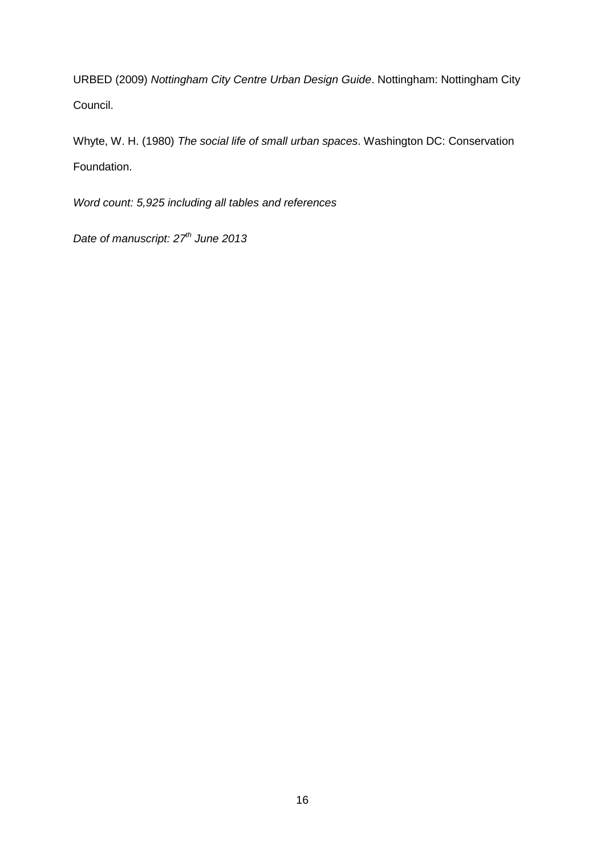URBED (2009) *Nottingham City Centre Urban Design Guide*. Nottingham: Nottingham City Council.

Whyte, W. H. (1980) *The social life of small urban spaces*. Washington DC: Conservation Foundation.

*Word count: 5,925 including all tables and references*

*Date of manuscript: 27th June 2013*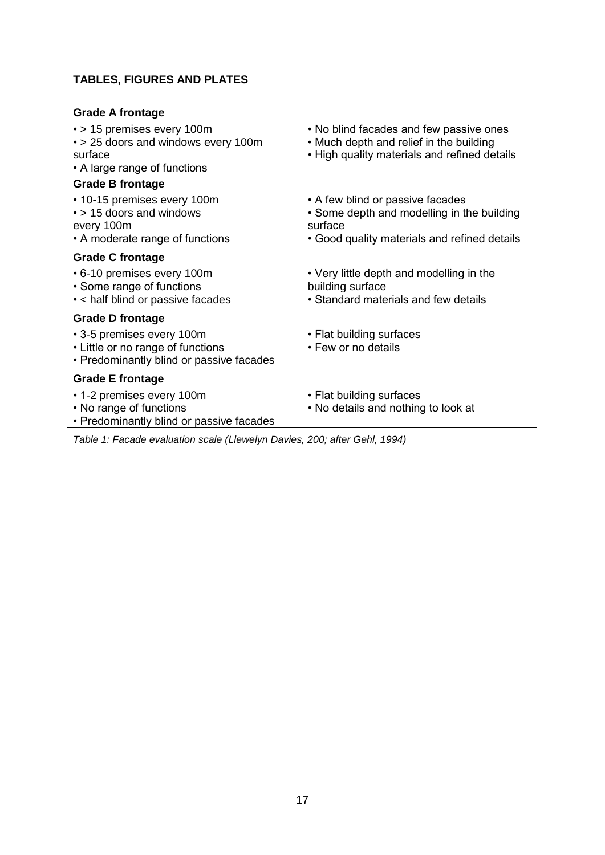# **TABLES, FIGURES AND PLATES**

## **Grade A frontage**

|  |  |  | • > 15 premises every 100m |  |
|--|--|--|----------------------------|--|
|--|--|--|----------------------------|--|

- > 25 doors and windows every 100m surface
- A large range of functions

# **Grade B frontage**

• 10-15 premises every 100m • > 15 doors and windows

- every 100m
- A moderate range of functions

## **Grade C frontage**

- 6-10 premises every 100m
- Some range of functions
- < half blind or passive facades

# **Grade D frontage**

- 3-5 premises every 100m
- Little or no range of functions
- Predominantly blind or passive facades

## **Grade E frontage**

- 1-2 premises every 100m
- No range of functions
- Predominantly blind or passive facades
- No blind facades and few passive ones
- Much depth and relief in the building
- High quality materials and refined details
- A few blind or passive facades
- Some depth and modelling in the building surface
- Good quality materials and refined details
- Very little depth and modelling in the building surface
- Standard materials and few details
- Flat building surfaces
- Few or no details
- Flat building surfaces
- No details and nothing to look at

*Table 1: Facade evaluation scale (Llewelyn Davies, 200; after Gehl, 1994)*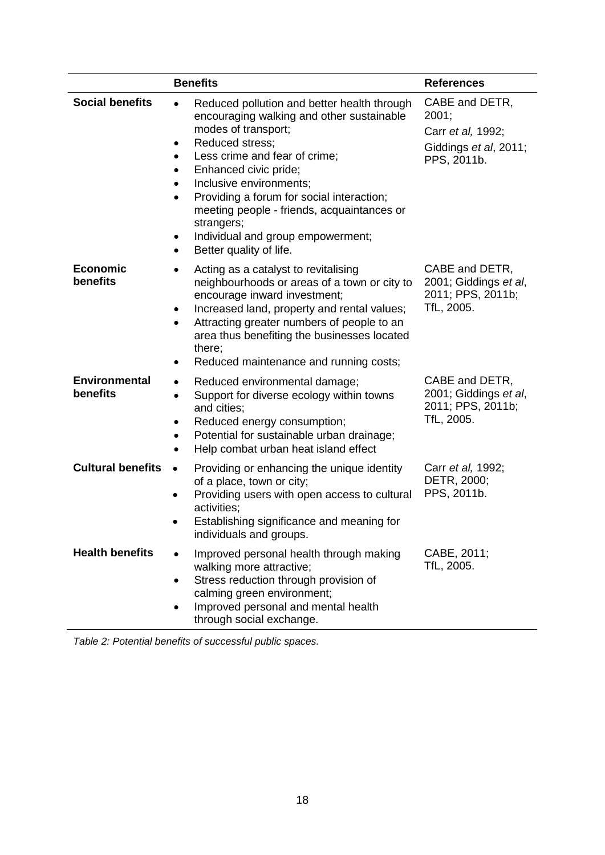|                                  | <b>Benefits</b>                                                                                                                                                                                                                                                                                                                                                                                                                                                | <b>References</b>                                                                    |  |
|----------------------------------|----------------------------------------------------------------------------------------------------------------------------------------------------------------------------------------------------------------------------------------------------------------------------------------------------------------------------------------------------------------------------------------------------------------------------------------------------------------|--------------------------------------------------------------------------------------|--|
| <b>Social benefits</b>           | Reduced pollution and better health through<br>encouraging walking and other sustainable<br>modes of transport;<br>Reduced stress;<br>Less crime and fear of crime;<br>$\bullet$<br>Enhanced civic pride;<br>٠<br>Inclusive environments;<br>$\bullet$<br>Providing a forum for social interaction;<br>$\bullet$<br>meeting people - friends, acquaintances or<br>strangers;<br>Individual and group empowerment;<br>$\bullet$<br>Better quality of life.<br>٠ | CABE and DETR,<br>2001;<br>Carr et al, 1992;<br>Giddings et al, 2011;<br>PPS, 2011b. |  |
| <b>Economic</b><br>benefits      | Acting as a catalyst to revitalising<br>neighbourhoods or areas of a town or city to<br>encourage inward investment;<br>Increased land, property and rental values;<br>$\bullet$<br>Attracting greater numbers of people to an<br>$\bullet$<br>area thus benefiting the businesses located<br>there;<br>Reduced maintenance and running costs;                                                                                                                 | CABE and DETR,<br>2001; Giddings et al,<br>2011; PPS, 2011b;<br>TfL, 2005.           |  |
| <b>Environmental</b><br>benefits | Reduced environmental damage;<br>$\bullet$<br>Support for diverse ecology within towns<br>$\bullet$<br>and cities;<br>Reduced energy consumption;<br>٠<br>Potential for sustainable urban drainage;<br>Help combat urban heat island effect                                                                                                                                                                                                                    | CABE and DETR,<br>2001; Giddings et al,<br>2011; PPS, 2011b;<br>TfL, 2005.           |  |
| <b>Cultural benefits</b>         | Providing or enhancing the unique identity<br>$\bullet$<br>of a place, town or city;<br>Providing users with open access to cultural<br>activities;<br>Establishing significance and meaning for<br>individuals and groups.                                                                                                                                                                                                                                    | Carr et al, 1992;<br>DETR, 2000;<br>PPS, 2011b.                                      |  |
| <b>Health benefits</b>           | Improved personal health through making<br>walking more attractive;<br>Stress reduction through provision of<br>$\bullet$<br>calming green environment;<br>Improved personal and mental health<br>٠<br>through social exchange.                                                                                                                                                                                                                                | CABE, 2011;<br>TfL, 2005.                                                            |  |

*Table 2: Potential benefits of successful public spaces.*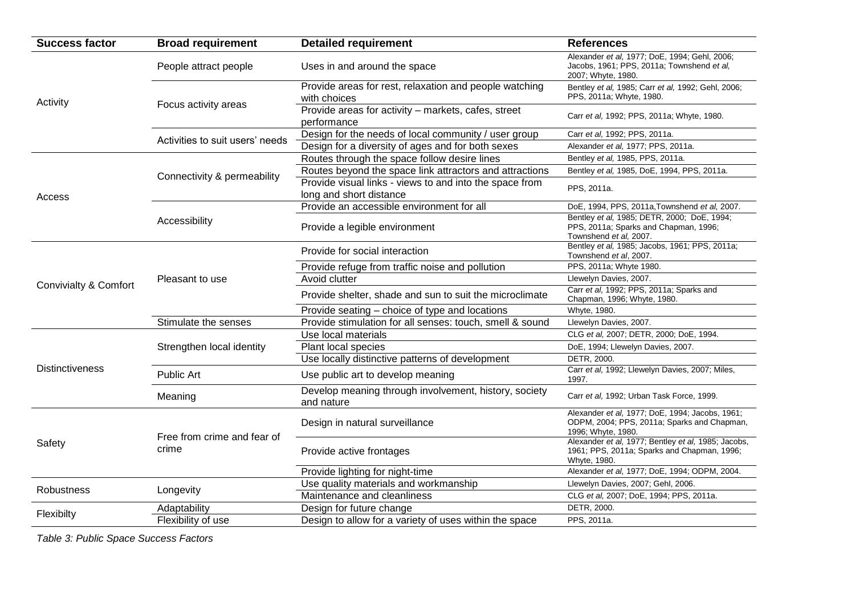| <b>Success factor</b>  | <b>Broad requirement</b>        | <b>Detailed requirement</b>                                                        | <b>References</b>                                                                                                    |
|------------------------|---------------------------------|------------------------------------------------------------------------------------|----------------------------------------------------------------------------------------------------------------------|
|                        | People attract people           | Uses in and around the space                                                       | Alexander et al, 1977; DoE, 1994; Gehl, 2006;<br>Jacobs, 1961; PPS, 2011a; Townshend et al,<br>2007; Whyte, 1980.    |
| Activity               |                                 | Provide areas for rest, relaxation and people watching<br>with choices             | Bentley et al, 1985; Carr et al, 1992; Gehl, 2006;<br>PPS, 2011a; Whyte, 1980.                                       |
|                        | Focus activity areas            | Provide areas for activity - markets, cafes, street<br>performance                 | Carr et al, 1992; PPS, 2011a; Whyte, 1980.                                                                           |
|                        | Activities to suit users' needs | Design for the needs of local community / user group                               | Carr et al, 1992; PPS, 2011a.                                                                                        |
|                        |                                 | Design for a diversity of ages and for both sexes                                  | Alexander et al, 1977; PPS, 2011a.                                                                                   |
|                        |                                 | Routes through the space follow desire lines                                       | Bentley et al, 1985, PPS, 2011a.                                                                                     |
|                        | Connectivity & permeability     | Routes beyond the space link attractors and attractions                            | Bentley et al, 1985, DoE, 1994, PPS, 2011a.                                                                          |
| Access                 |                                 | Provide visual links - views to and into the space from<br>long and short distance | PPS, 2011a.                                                                                                          |
|                        |                                 | Provide an accessible environment for all                                          | DoE, 1994, PPS, 2011a, Townshend et al, 2007.                                                                        |
|                        | Accessibility                   | Provide a legible environment                                                      | Bentley et al, 1985; DETR, 2000; DoE, 1994;<br>PPS, 2011a; Sparks and Chapman, 1996;<br>Townshend et al, 2007.       |
|                        |                                 | Provide for social interaction                                                     | Bentley et al, 1985; Jacobs, 1961; PPS, 2011a;<br>Townshend et al, 2007.                                             |
|                        | Pleasant to use                 | Provide refuge from traffic noise and pollution                                    | PPS, 2011a; Whyte 1980.                                                                                              |
| Convivialty & Comfort  |                                 | Avoid clutter                                                                      | Llewelyn Davies, 2007.                                                                                               |
|                        |                                 | Provide shelter, shade and sun to suit the microclimate                            | Carr et al, 1992; PPS, 2011a; Sparks and<br>Chapman, 1996; Whyte, 1980.                                              |
|                        |                                 | Provide seating - choice of type and locations                                     | Whyte, 1980.                                                                                                         |
|                        | Stimulate the senses            | Provide stimulation for all senses: touch, smell & sound                           | Llewelyn Davies, 2007.                                                                                               |
|                        |                                 | Use local materials                                                                | CLG et al, 2007; DETR, 2000; DoE, 1994.                                                                              |
|                        | Strengthen local identity       | Plant local species                                                                | DoE, 1994; Llewelyn Davies, 2007.                                                                                    |
|                        |                                 | Use locally distinctive patterns of development                                    | DETR, 2000.                                                                                                          |
| <b>Distinctiveness</b> | Public Art                      | Use public art to develop meaning                                                  | Carr et al, 1992; Llewelyn Davies, 2007; Miles,<br>1997.                                                             |
|                        | Meaning                         | Develop meaning through involvement, history, society<br>and nature                | Carr et al, 1992; Urban Task Force, 1999.                                                                            |
|                        | Free from crime and fear of     | Design in natural surveillance                                                     | Alexander et al, 1977; DoE, 1994; Jacobs, 1961;<br>ODPM, 2004; PPS, 2011a; Sparks and Chapman,<br>1996; Whyte, 1980. |
| Safety                 | crime                           | Provide active frontages                                                           | Alexander et al, 1977; Bentley et al, 1985; Jacobs,<br>1961; PPS, 2011a; Sparks and Chapman, 1996;<br>Whyte, 1980.   |
|                        |                                 | Provide lighting for night-time                                                    | Alexander et al, 1977; DoE, 1994; ODPM, 2004.                                                                        |
| <b>Robustness</b>      |                                 | Use quality materials and workmanship                                              | Llewelyn Davies, 2007; Gehl, 2006.                                                                                   |
|                        | Longevity                       | Maintenance and cleanliness                                                        | CLG et al, 2007; DoE, 1994; PPS, 2011a.                                                                              |
| Flexibilty             | Adaptability                    | Design for future change                                                           | DETR, 2000.                                                                                                          |
|                        | Flexibility of use              | Design to allow for a variety of uses within the space                             | PPS, 2011a.                                                                                                          |

*Table 3: Public Space Success Factors*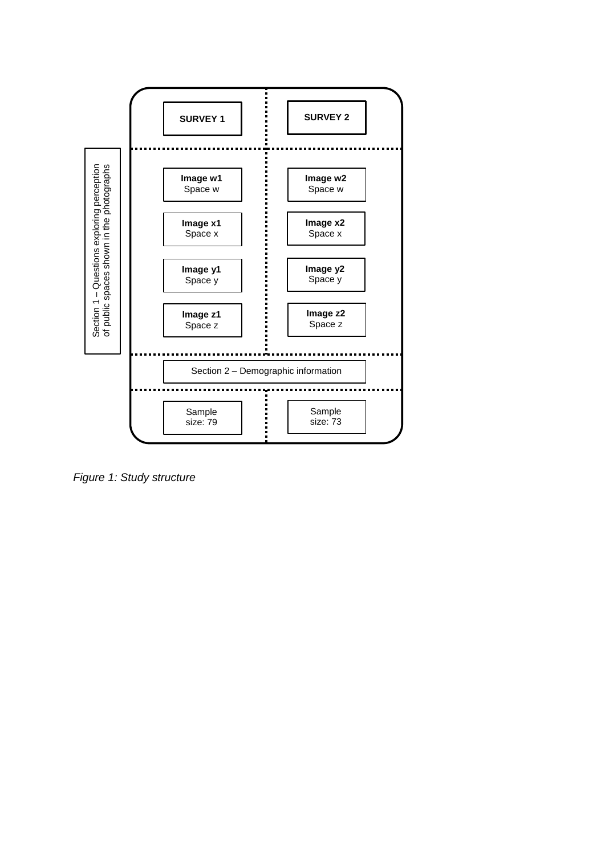

*Figure 1: Study structure*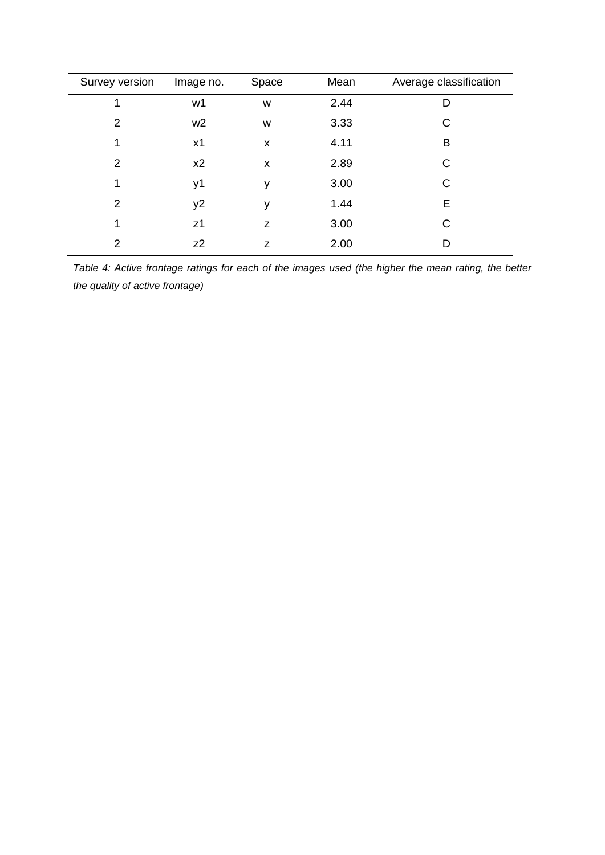| Survey version | Image no.      | Space | Mean | Average classification |
|----------------|----------------|-------|------|------------------------|
| 1              | w1             | W     | 2.44 | D                      |
| $\overline{2}$ | w <sub>2</sub> | W     | 3.33 | C                      |
| 1              | x1             | X     | 4.11 | B                      |
| $\overline{2}$ | x2             | X     | 2.89 | C                      |
| 1              | y1             | y     | 3.00 | C                      |
| $\overline{2}$ | y2             | y     | 1.44 | E                      |
| 1              | z <sub>1</sub> | Z     | 3.00 | C                      |
| $\overline{2}$ | $Z^2$          | Z     | 2.00 | D                      |

*Table 4: Active frontage ratings for each of the images used (the higher the mean rating, the better the quality of active frontage)*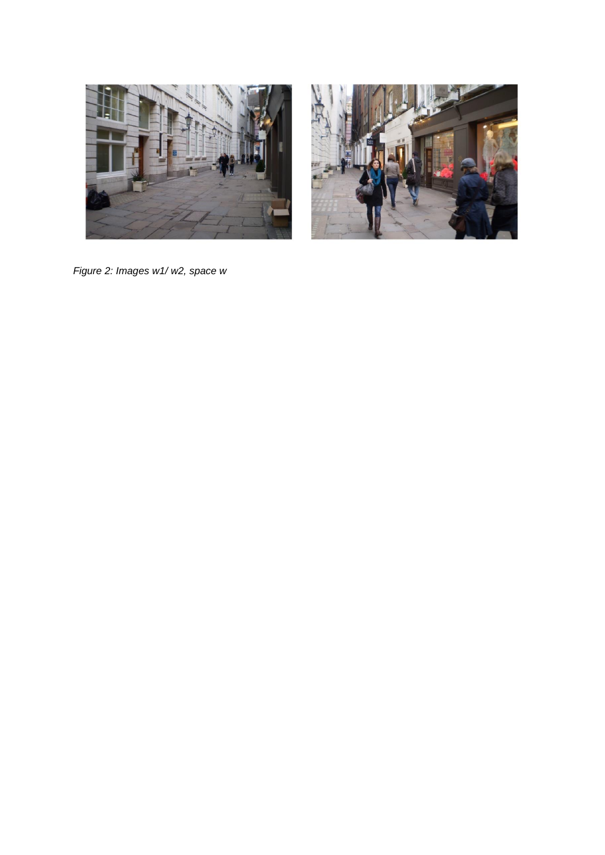



*Figure 2: Images w1/ w2, space w*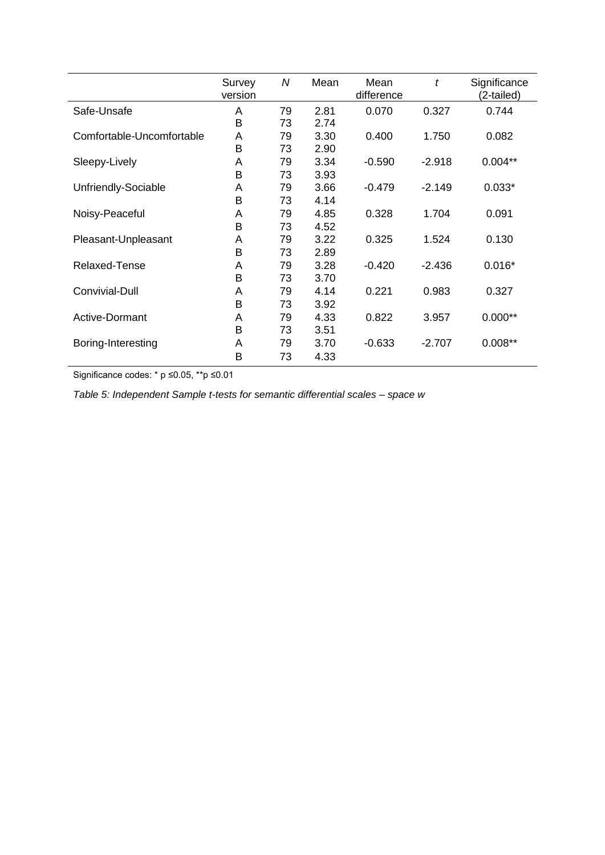|                           | Survey<br>version | N  | Mean | Mean<br>difference | t        | Significance<br>(2-tailed) |
|---------------------------|-------------------|----|------|--------------------|----------|----------------------------|
| Safe-Unsafe               | A                 | 79 | 2.81 | 0.070              | 0.327    | 0.744                      |
|                           | B                 | 73 | 2.74 |                    |          |                            |
| Comfortable-Uncomfortable | A                 | 79 | 3.30 | 0.400              | 1.750    | 0.082                      |
|                           | B                 | 73 | 2.90 |                    |          |                            |
| Sleepy-Lively             | A                 | 79 | 3.34 | -0.590             | $-2.918$ | $0.004**$                  |
|                           | B                 | 73 | 3.93 |                    |          |                            |
| Unfriendly-Sociable       | A                 | 79 | 3.66 | $-0.479$           | $-2.149$ | $0.033*$                   |
|                           | в                 | 73 | 4.14 |                    |          |                            |
| Noisy-Peaceful            | A                 | 79 | 4.85 | 0.328              | 1.704    | 0.091                      |
|                           | B                 | 73 | 4.52 |                    |          |                            |
| Pleasant-Unpleasant       | A                 | 79 | 3.22 | 0.325              | 1.524    | 0.130                      |
|                           | B                 | 73 | 2.89 |                    |          |                            |
| Relaxed-Tense             | A                 | 79 | 3.28 | $-0.420$           | $-2.436$ | $0.016*$                   |
|                           | B                 | 73 | 3.70 |                    |          |                            |
| Convivial-Dull            | A                 | 79 | 4.14 | 0.221              | 0.983    | 0.327                      |
|                           | B                 | 73 | 3.92 |                    |          |                            |
| Active-Dormant            | A                 | 79 | 4.33 | 0.822              | 3.957    | $0.000**$                  |
|                           | B                 | 73 | 3.51 |                    |          |                            |
| Boring-Interesting        | A                 | 79 | 3.70 | $-0.633$           | $-2.707$ | $0.008**$                  |
|                           | B                 | 73 | 4.33 |                    |          |                            |

Significance codes: \* p ≤0.05, \*\*p ≤0.01

*Table 5: Independent Sample t-tests for semantic differential scales – space w*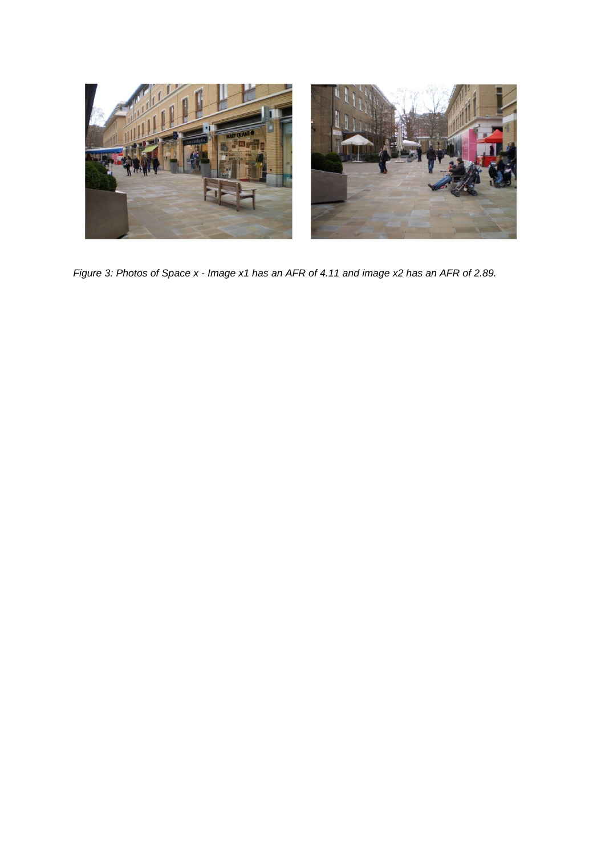

*Figure 3: Photos of Space x - Image x1 has an AFR of 4.11 and image x2 has an AFR of 2.89.*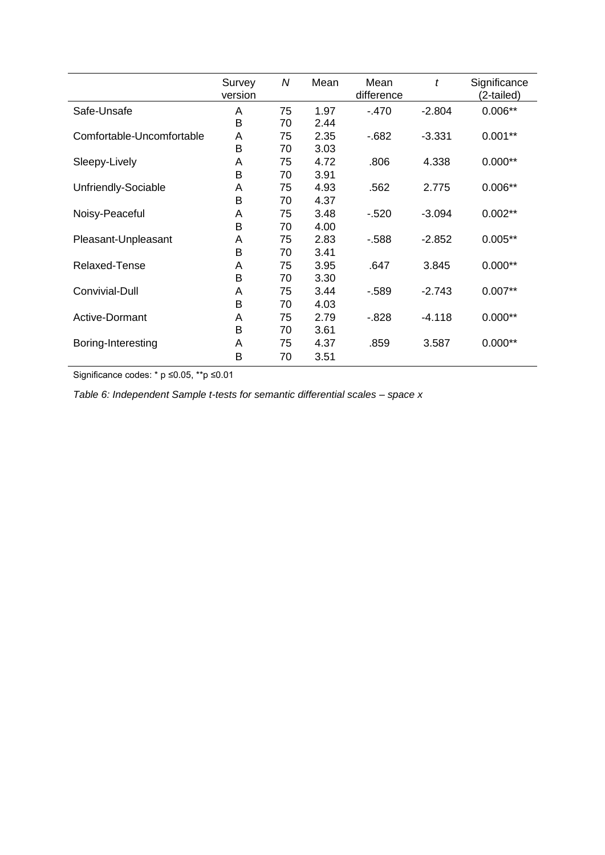|                           | Survey<br>version | N        | Mean         | Mean<br>difference | t        | Significance<br>(2-tailed) |
|---------------------------|-------------------|----------|--------------|--------------------|----------|----------------------------|
| Safe-Unsafe               | Α<br>B            | 75<br>70 | 1.97<br>2.44 | $-470$             | $-2.804$ | $0.006**$                  |
| Comfortable-Uncomfortable | A                 | 75       | 2.35         | $-682$             | $-3.331$ | $0.001**$                  |
| Sleepy-Lively             | B<br>A            | 70<br>75 | 3.03<br>4.72 | .806               | 4.338    | $0.000**$                  |
| Unfriendly-Sociable       | B<br>A            | 70<br>75 | 3.91<br>4.93 | .562               | 2.775    | $0.006**$                  |
|                           | в                 | 70       | 4.37         |                    |          |                            |
| Noisy-Peaceful            | A<br>в            | 75<br>70 | 3.48<br>4.00 | $-520$             | $-3.094$ | $0.002**$                  |
| Pleasant-Unpleasant       | A<br>B            | 75<br>70 | 2.83<br>3.41 | $-588$             | $-2.852$ | $0.005**$                  |
| Relaxed-Tense             | Α                 | 75       | 3.95         | .647               | 3.845    | $0.000**$                  |
| Convivial-Dull            | B<br>A            | 70<br>75 | 3.30<br>3.44 | $-589$             | $-2.743$ | $0.007**$                  |
| Active-Dormant            | B<br>A            | 70<br>75 | 4.03<br>2.79 | $-828$             | $-4.118$ | $0.000**$                  |
|                           | B                 | 70       | 3.61         |                    |          |                            |
| Boring-Interesting        | A<br>B            | 75<br>70 | 4.37<br>3.51 | .859               | 3.587    | $0.000**$                  |

Significance codes: \* p ≤0.05, \*\*p ≤0.01

*Table 6: Independent Sample t-tests for semantic differential scales – space x*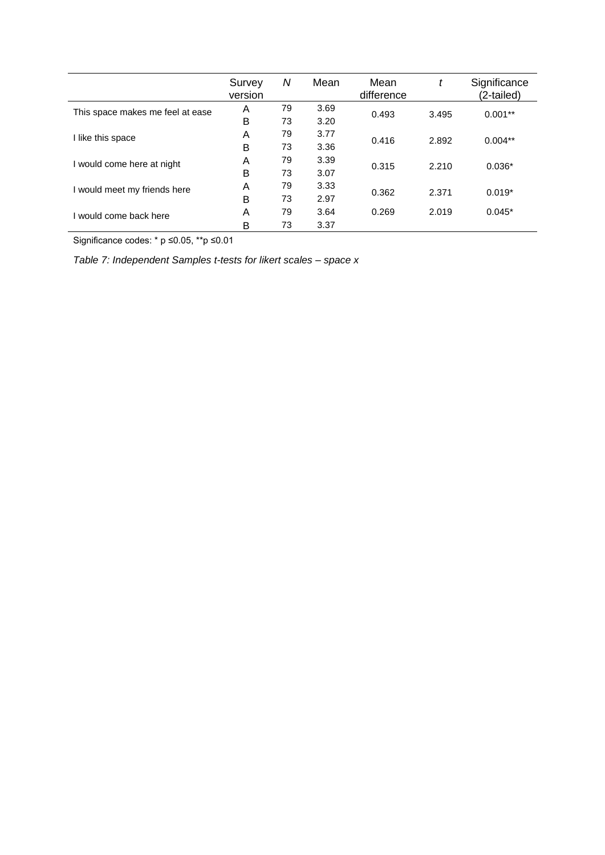|                                  | Survey<br>version | Ν  | Mean | Mean<br>difference |       | Significance<br>(2-tailed) |
|----------------------------------|-------------------|----|------|--------------------|-------|----------------------------|
| This space makes me feel at ease | A                 | 79 | 3.69 | 0.493              | 3.495 | $0.001**$                  |
|                                  | B                 | 73 | 3.20 |                    |       |                            |
| I like this space                | A                 | 79 | 3.77 | 0.416              | 2.892 | $0.004**$                  |
|                                  | B                 | 73 | 3.36 |                    |       |                            |
| I would come here at night       | A                 | 79 | 3.39 | 0.315              | 2.210 | $0.036*$                   |
|                                  | B                 | 73 | 3.07 |                    |       |                            |
| I would meet my friends here     | A                 | 79 | 3.33 | 0.362              | 2.371 | $0.019*$                   |
|                                  | B                 | 73 | 2.97 |                    |       |                            |
| I would come back here           | A                 | 79 | 3.64 | 0.269              | 2.019 | $0.045*$                   |
|                                  | B                 | 73 | 3.37 |                    |       |                            |

Significance codes: \* p ≤0.05, \*\*p ≤0.01

*Table 7: Independent Samples t-tests for likert scales – space x*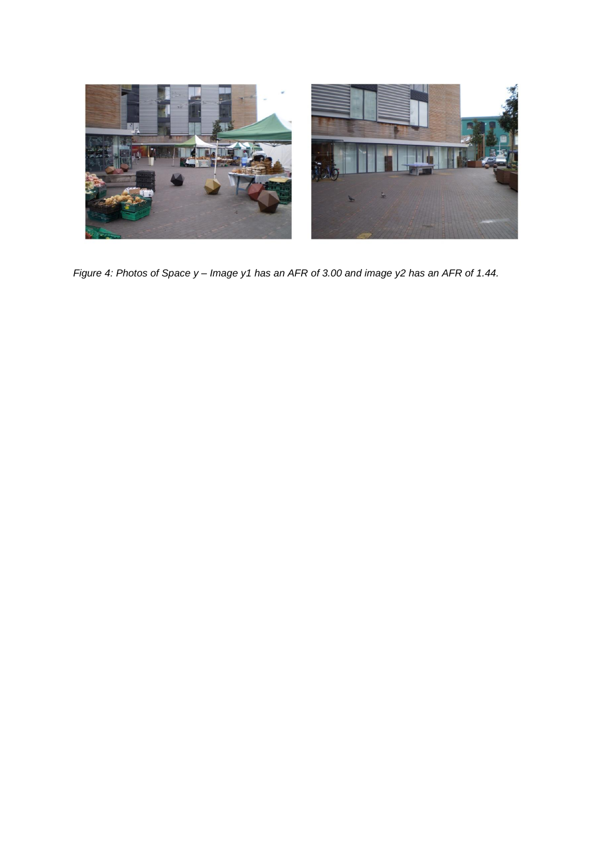

*Figure 4: Photos of Space y – Image y1 has an AFR of 3.00 and image y2 has an AFR of 1.44.*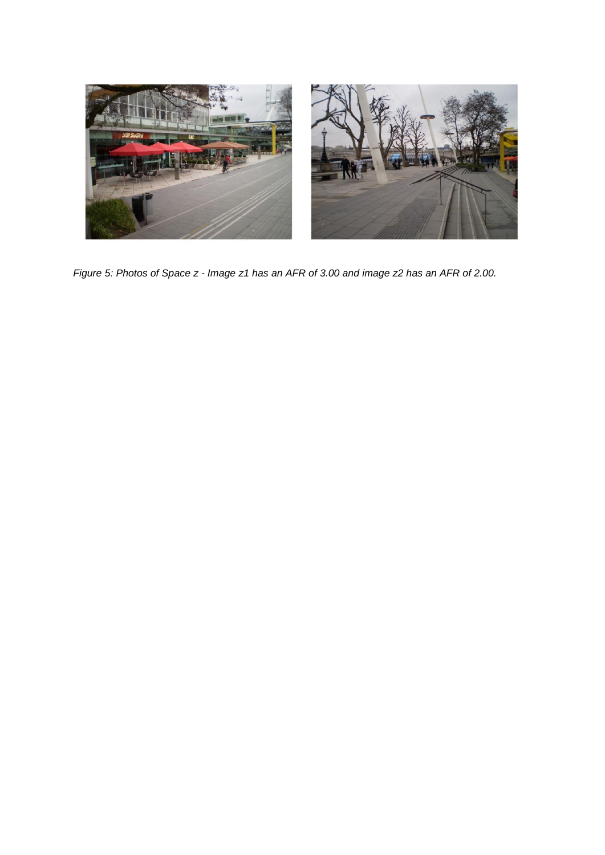

*Figure 5: Photos of Space z - Image z1 has an AFR of 3.00 and image z2 has an AFR of 2.00.*